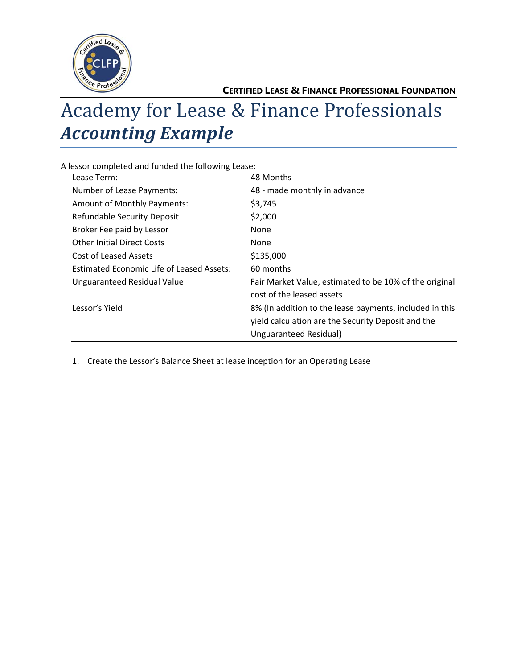

# Academy for Lease & Finance Professionals *Accounting Example*

| A lessor completed and funded the following Lease: |                                                         |
|----------------------------------------------------|---------------------------------------------------------|
| Lease Term:                                        | 48 Months                                               |
| Number of Lease Payments:                          | 48 - made monthly in advance                            |
| Amount of Monthly Payments:                        | \$3,745                                                 |
| Refundable Security Deposit                        | \$2,000                                                 |
| Broker Fee paid by Lessor                          | None                                                    |
| <b>Other Initial Direct Costs</b>                  | None                                                    |
| Cost of Leased Assets                              | \$135,000                                               |
| <b>Estimated Economic Life of Leased Assets:</b>   | 60 months                                               |
| Unguaranteed Residual Value                        | Fair Market Value, estimated to be 10% of the original  |
|                                                    | cost of the leased assets                               |
| Lessor's Yield                                     | 8% (In addition to the lease payments, included in this |
|                                                    | yield calculation are the Security Deposit and the      |
|                                                    | Unguaranteed Residual)                                  |

1. Create the Lessor's Balance Sheet at lease inception for an Operating Lease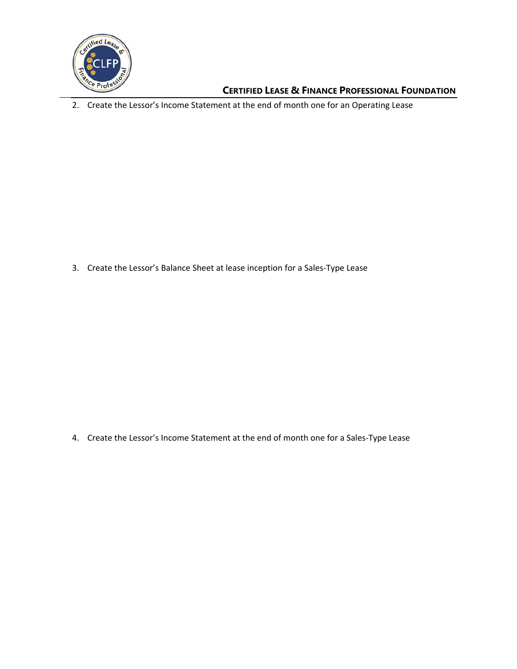

#### **CERTIFIED LEASE & FINANCE PROFESSIONAL FOUNDATION**

2. Create the Lessor's Income Statement at the end of month one for an Operating Lease

3. Create the Lessor's Balance Sheet at lease inception for a Sales-Type Lease

4. Create the Lessor's Income Statement at the end of month one for a Sales-Type Lease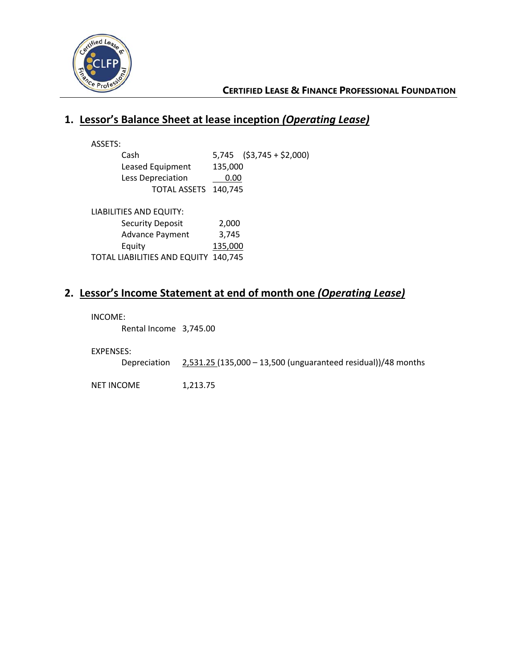

#### **CERTIFIED LEASE & FINANCE PROFESSIONAL FOUNDATION**

## **1. Lessor's Balance Sheet at lease inception** *(Operating Lease)*

| ASSETS: |                              |         |                             |
|---------|------------------------------|---------|-----------------------------|
|         | Cash                         |         | $5,745$ $(53,745 + 52,000)$ |
|         | Leased Equipment             | 135,000 |                             |
|         | Less Depreciation            | 0.00    |                             |
|         | <b>TOTAL ASSETS</b>          | 140,745 |                             |
|         | LIABILITIES AND EQUITY:      |         |                             |
|         | <b>Security Deposit</b>      | 2,000   |                             |
|         | <b>Advance Payment</b>       | 3,745   |                             |
|         | Equity                       | 135,000 |                             |
|         | TOTAL LIABILITIES AND EQUITY | 140.745 |                             |
|         |                              |         |                             |

### **2. Lessor's Income Statement at end of month one** *(Operating Lease)*

INCOME:

Rental Income 3,745.00

EXPENSES:

Depreciation 2,531.25 (135,000 – 13,500 (unguaranteed residual))/48 months

NET INCOME 1,213.75